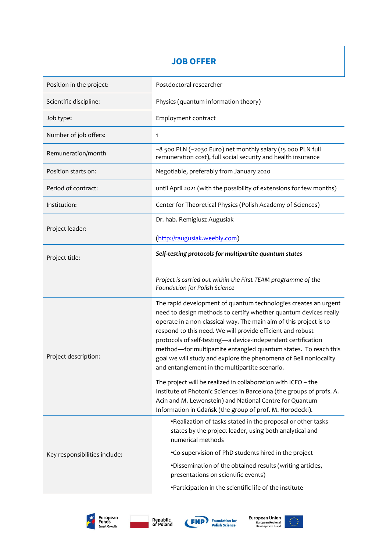# **JOB OFFER**

| Position in the project:      | Postdoctoral researcher                                                                                                                                                                                                                                                                                                                                                                                                                                                                                                          |
|-------------------------------|----------------------------------------------------------------------------------------------------------------------------------------------------------------------------------------------------------------------------------------------------------------------------------------------------------------------------------------------------------------------------------------------------------------------------------------------------------------------------------------------------------------------------------|
| Scientific discipline:        | Physics (quantum information theory)                                                                                                                                                                                                                                                                                                                                                                                                                                                                                             |
| Job type:                     | Employment contract                                                                                                                                                                                                                                                                                                                                                                                                                                                                                                              |
| Number of job offers:         | 1                                                                                                                                                                                                                                                                                                                                                                                                                                                                                                                                |
| Remuneration/month            | ~8 500 PLN (~2030 Euro) net monthly salary (15 000 PLN full<br>remuneration cost), full social security and health insurance                                                                                                                                                                                                                                                                                                                                                                                                     |
| Position starts on:           | Negotiable, preferably from January 2020                                                                                                                                                                                                                                                                                                                                                                                                                                                                                         |
| Period of contract:           | until April 2021 (with the possibility of extensions for few months)                                                                                                                                                                                                                                                                                                                                                                                                                                                             |
| Institution:                  | Center for Theoretical Physics (Polish Academy of Sciences)                                                                                                                                                                                                                                                                                                                                                                                                                                                                      |
| Project leader:               | Dr. hab. Remigiusz Augusiak                                                                                                                                                                                                                                                                                                                                                                                                                                                                                                      |
|                               | (http://raugusiak.weebly.com)                                                                                                                                                                                                                                                                                                                                                                                                                                                                                                    |
| Project title:                | Self-testing protocols for multipartite quantum states                                                                                                                                                                                                                                                                                                                                                                                                                                                                           |
|                               | Project is carried out within the First TEAM programme of the<br>Foundation for Polish Science                                                                                                                                                                                                                                                                                                                                                                                                                                   |
| Project description:          | The rapid development of quantum technologies creates an urgent<br>need to design methods to certify whether quantum devices really<br>operate in a non-classical way. The main aim of this project is to<br>respond to this need. We will provide efficient and robust<br>protocols of self-testing-a device-independent certification<br>method-for multipartite entangled quantum states. To reach this<br>goal we will study and explore the phenomena of Bell nonlocality<br>and entanglement in the multipartite scenario. |
|                               | The project will be realized in collaboration with ICFO - the<br>Institute of Photonic Sciences in Barcelona (the groups of profs. A.<br>Acin and M. Lewenstein) and National Centre for Quantum<br>Information in Gdańsk (the group of prof. M. Horodecki).                                                                                                                                                                                                                                                                     |
| Key responsibilities include: | . Realization of tasks stated in the proposal or other tasks<br>states by the project leader, using both analytical and<br>numerical methods                                                                                                                                                                                                                                                                                                                                                                                     |
|                               | .Co-supervision of PhD students hired in the project                                                                                                                                                                                                                                                                                                                                                                                                                                                                             |
|                               | .Dissemination of the obtained results (writing articles,<br>presentations on scientific events)                                                                                                                                                                                                                                                                                                                                                                                                                                 |
|                               | •Participation in the scientific life of the institute                                                                                                                                                                                                                                                                                                                                                                                                                                                                           |









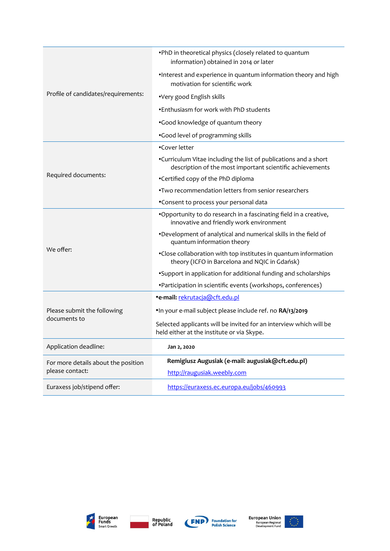| Profile of candidates/requirements:                    | . PhD in theoretical physics (closely related to quantum<br>information) obtained in 2014 or later                            |
|--------------------------------------------------------|-------------------------------------------------------------------------------------------------------------------------------|
|                                                        | •Interest and experience in quantum information theory and high<br>motivation for scientific work                             |
|                                                        | •Very good English skills                                                                                                     |
|                                                        | . Enthusiasm for work with PhD students                                                                                       |
|                                                        | .Good knowledge of quantum theory                                                                                             |
|                                                        | .Good level of programming skills                                                                                             |
| Required documents:                                    | •Cover letter                                                                                                                 |
|                                                        | •Curriculum Vitae including the list of publications and a short<br>description of the most important scientific achievements |
|                                                        | •Certified copy of the PhD diploma                                                                                            |
|                                                        | . Two recommendation letters from senior researchers                                                                          |
|                                                        | •Consent to process your personal data                                                                                        |
| We offer:                                              | .Opportunity to do research in a fascinating field in a creative,<br>innovative and friendly work environment                 |
|                                                        | .Development of analytical and numerical skills in the field of<br>quantum information theory                                 |
|                                                        | •Close collaboration with top institutes in quantum information<br>theory (ICFO in Barcelona and NQIC in Gdańsk)              |
|                                                        | *Support in application for additional funding and scholarships                                                               |
|                                                        | • Participation in scientific events (workshops, conferences)                                                                 |
| Please submit the following<br>documents to            | ·e-mail: rekrutacja@cft.edu.pl                                                                                                |
|                                                        | .In your e-mail subject please include ref. no RA/13/2019                                                                     |
|                                                        | Selected applicants will be invited for an interview which will be<br>held either at the institute or via Skype.              |
| Application deadline:                                  | Jan 2, 2020                                                                                                                   |
| For more details about the position<br>please contact: | Remigiusz Augusiak (e-mail: augusiak@cft.edu.pl)                                                                              |
|                                                        | http://raugusiak.weebly.com                                                                                                   |
| Euraxess job/stipend offer:                            | https://euraxess.ec.europa.eu/jobs/460993                                                                                     |